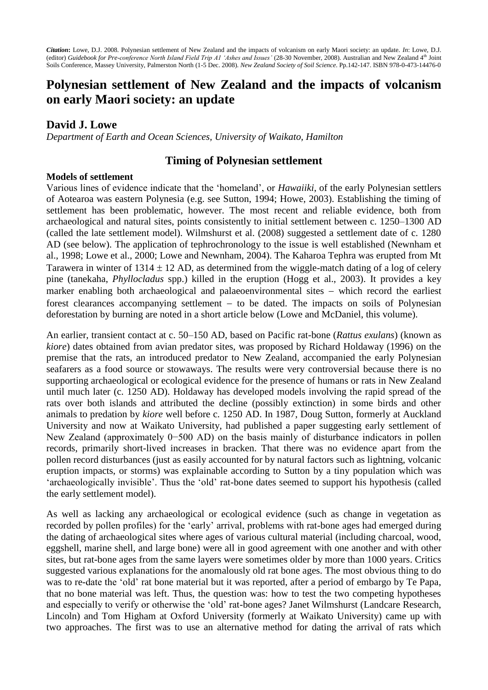*Citation***:** Lowe, D.J. 2008. Polynesian settlement of New Zealand and the impacts of volcanism on early Maori society: an update. *In*: Lowe, D.J. (editor) *Guidebook for Pre-conference North Island Field Trip A1 'Ashes and Issues'* (28-30 November, 2008)*.* Australian and New Zealand 4th Joint Soils Conference, Massey University, Palmerston North (1-5 Dec. 2008). *New Zealand Society of Soil Science*. Pp.142-147. ISBN 978-0-473-14476-0

# **Polynesian settlement of New Zealand and the impacts of volcanism on early Maori society: an update**

# **David J. Lowe**

*Department of Earth and Ocean Sciences, University of Waikato, Hamilton*

## **Timing of Polynesian settlement**

#### **Models of settlement**

Various lines of evidence indicate that the 'homeland', or *Hawaiiki*, of the early Polynesian settlers of Aotearoa was eastern Polynesia (e.g. see Sutton, 1994; Howe, 2003). Establishing the timing of settlement has been problematic, however. The most recent and reliable evidence, both from archaeological and natural sites, points consistently to initial settlement between c. 1250–1300 AD (called the late settlement model). Wilmshurst et al. (2008) suggested a settlement date of c. 1280 AD (see below). The application of tephrochronology to the issue is well established (Newnham et al., 1998; Lowe et al., 2000; Lowe and Newnham, 2004). The Kaharoa Tephra was erupted from Mt Tarawera in winter of  $1314 \pm 12$  AD, as determined from the wiggle-match dating of a log of celery pine (tanekaha, *Phyllocladus* spp.) killed in the eruption (Hogg et al., 2003). It provides a key marker enabling both archaeological and palaeoenvironmental sites  $-$  which record the earliest forest clearances accompanying settlement  $-$  to be dated. The impacts on soils of Polynesian deforestation by burning are noted in a short article below (Lowe and McDaniel, this volume).

An earlier, transient contact at c. 50–150 AD, based on Pacific rat-bone (*Rattus exulans*) (known as *kiore*) dates obtained from avian predator sites, was proposed by Richard Holdaway (1996) on the premise that the rats, an introduced predator to New Zealand, accompanied the early Polynesian seafarers as a food source or stowaways. The results were very controversial because there is no supporting archaeological or ecological evidence for the presence of humans or rats in New Zealand until much later (c. 1250 AD). Holdaway has developed models involving the rapid spread of the rats over both islands and attributed the decline (possibly extinction) in some birds and other animals to predation by *kiore* well before c. 1250 AD. In 1987, Doug Sutton, formerly at Auckland University and now at Waikato University, had published a paper suggesting early settlement of New Zealand (approximately 0–500 AD) on the basis mainly of disturbance indicators in pollen records, primarily short-lived increases in bracken. That there was no evidence apart from the pollen record disturbances (just as easily accounted for by natural factors such as lightning, volcanic eruption impacts, or storms) was explainable according to Sutton by a tiny population which was 'archaeologically invisible'. Thus the 'old' rat-bone dates seemed to support his hypothesis (called the early settlement model).

As well as lacking any archaeological or ecological evidence (such as change in vegetation as recorded by pollen profiles) for the 'early' arrival, problems with rat-bone ages had emerged during the dating of archaeological sites where ages of various cultural material (including charcoal, wood, eggshell, marine shell, and large bone) were all in good agreement with one another and with other sites, but rat-bone ages from the same layers were sometimes older by more than 1000 years. Critics suggested various explanations for the anomalously old rat bone ages. The most obvious thing to do was to re-date the 'old' rat bone material but it was reported, after a period of embargo by Te Papa, that no bone material was left. Thus, the question was: how to test the two competing hypotheses and especially to verify or otherwise the 'old' rat-bone ages? Janet Wilmshurst (Landcare Research, Lincoln) and Tom Higham at Oxford University (formerly at Waikato University) came up with two approaches. The first was to use an alternative method for dating the arrival of rats which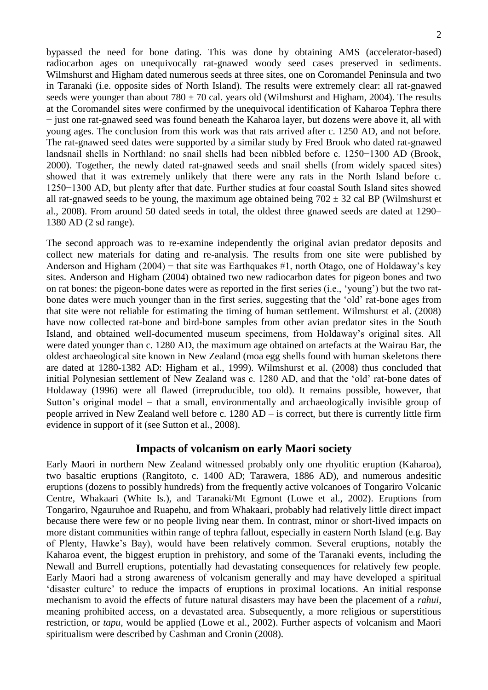bypassed the need for bone dating. This was done by obtaining AMS (accelerator-based) radiocarbon ages on unequivocally rat-gnawed woody seed cases preserved in sediments. Wilmshurst and Higham dated numerous seeds at three sites, one on Coromandel Peninsula and two in Taranaki (i.e. opposite sides of North Island). The results were extremely clear: all rat-gnawed seeds were younger than about 780  $\pm$  70 cal. years old (Wilmshurst and Higham, 2004). The results at the Coromandel sites were confirmed by the unequivocal identification of Kaharoa Tephra there − just one rat-gnawed seed was found beneath the Kaharoa layer, but dozens were above it, all with young ages. The conclusion from this work was that rats arrived after c. 1250 AD, and not before. The rat-gnawed seed dates were supported by a similar study by Fred Brook who dated rat-gnawed landsnail shells in Northland: no snail shells had been nibbled before c. 1250−1300 AD (Brook, 2000). Together, the newly dated rat-gnawed seeds and snail shells (from widely spaced sites) showed that it was extremely unlikely that there were any rats in the North Island before c. 1250−1300 AD, but plenty after that date. Further studies at four coastal South Island sites showed all rat-gnawed seeds to be young, the maximum age obtained being  $702 \pm 32$  cal BP (Wilmshurst et al., 2008). From around 50 dated seeds in total, the oldest three gnawed seeds are dated at 1290 1380 AD (2 sd range).

The second approach was to re-examine independently the original avian predator deposits and collect new materials for dating and re-analysis. The results from one site were published by Anderson and Higham (2004) − that site was Earthquakes #1, north Otago, one of Holdaway's key sites. Anderson and Higham (2004) obtained two new radiocarbon dates for pigeon bones and two on rat bones: the pigeon-bone dates were as reported in the first series (i.e., 'young') but the two ratbone dates were much younger than in the first series, suggesting that the 'old' rat-bone ages from that site were not reliable for estimating the timing of human settlement. Wilmshurst et al. (2008) have now collected rat-bone and bird-bone samples from other avian predator sites in the South Island, and obtained well-documented museum specimens, from Holdaway's original sites. All were dated younger than c. 1280 AD, the maximum age obtained on artefacts at the Wairau Bar, the oldest archaeological site known in New Zealand (moa egg shells found with human skeletons there are dated at 1280-1382 AD: Higham et al., 1999). Wilmshurst et al. (2008) thus concluded that initial Polynesian settlement of New Zealand was c. 1280 AD, and that the 'old' rat-bone dates of Holdaway (1996) were all flawed (irreproducible, too old). It remains possible, however, that Sutton's original model – that a small, environmentally and archaeologically invisible group of people arrived in New Zealand well before c. 1280 AD – is correct, but there is currently little firm evidence in support of it (see Sutton et al., 2008).

### **Impacts of volcanism on early Maori society**

Early Maori in northern New Zealand witnessed probably only one rhyolitic eruption (Kaharoa), two basaltic eruptions (Rangitoto, c. 1400 AD; Tarawera, 1886 AD), and numerous andesitic eruptions (dozens to possibly hundreds) from the frequently active volcanoes of Tongariro Volcanic Centre, Whakaari (White Is.), and Taranaki/Mt Egmont (Lowe et al., 2002). Eruptions from Tongariro, Ngauruhoe and Ruapehu, and from Whakaari, probably had relatively little direct impact because there were few or no people living near them. In contrast, minor or short-lived impacts on more distant communities within range of tephra fallout, especially in eastern North Island (e.g. Bay of Plenty, Hawke's Bay), would have been relatively common. Several eruptions, notably the Kaharoa event, the biggest eruption in prehistory, and some of the Taranaki events, including the Newall and Burrell eruptions, potentially had devastating consequences for relatively few people. Early Maori had a strong awareness of volcanism generally and may have developed a spiritual 'disaster culture' to reduce the impacts of eruptions in proximal locations. An initial response mechanism to avoid the effects of future natural disasters may have been the placement of a *rahui*, meaning prohibited access, on a devastated area. Subsequently, a more religious or superstitious restriction, or *tapu*, would be applied (Lowe et al., 2002). Further aspects of volcanism and Maori spiritualism were described by Cashman and Cronin (2008).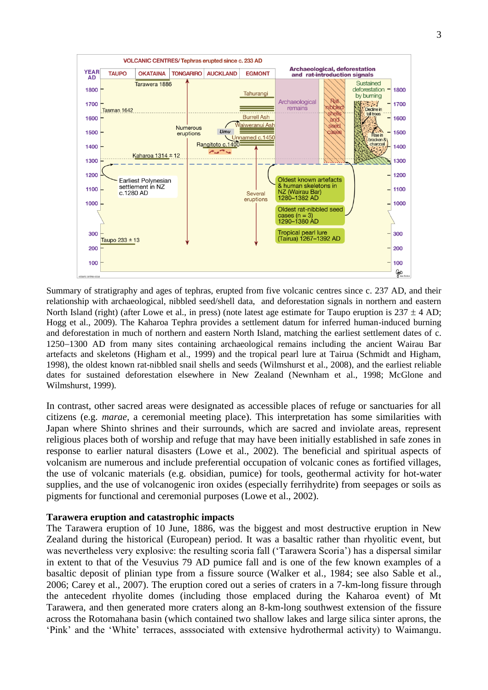

Summary of stratigraphy and ages of tephras, erupted from five volcanic centres since c. 237 AD, and their relationship with archaeological, nibbled seed/shell data, and deforestation signals in northern and eastern North Island (right) (after Lowe et al., in press) (note latest age estimate for Taupo eruption is  $237 \pm 4$  AD; Hogg et al., 2009). The Kaharoa Tephra provides a settlement datum for inferred human-induced burning and deforestation in much of northern and eastern North Island, matching the earliest settlement dates of c. 1250–1300 AD from many sites containing archaeological remains including the ancient Wairau Bar artefacts and skeletons (Higham et al., 1999) and the tropical pearl lure at Tairua (Schmidt and Higham, 1998), the oldest known rat-nibbled snail shells and seeds (Wilmshurst et al., 2008), and the earliest reliable dates for sustained deforestation elsewhere in New Zealand (Newnham et al., 1998; McGlone and Wilmshurst, 1999).

In contrast, other sacred areas were designated as accessible places of refuge or sanctuaries for all citizens (e.g. *marae*, a ceremonial meeting place). This interpretation has some similarities with Japan where Shinto shrines and their surrounds, which are sacred and inviolate areas, represent religious places both of worship and refuge that may have been initially established in safe zones in response to earlier natural disasters (Lowe et al., 2002). The beneficial and spiritual aspects of volcanism are numerous and include preferential occupation of volcanic cones as fortified villages, the use of volcanic materials (e.g. obsidian, pumice) for tools, geothermal activity for hot-water supplies, and the use of volcanogenic iron oxides (especially ferrihydrite) from seepages or soils as pigments for functional and ceremonial purposes (Lowe et al., 2002).

#### **Tarawera eruption and catastrophic impacts**

The Tarawera eruption of 10 June, 1886, was the biggest and most destructive eruption in New Zealand during the historical (European) period. It was a basaltic rather than rhyolitic event, but was nevertheless very explosive: the resulting scoria fall ('Tarawera Scoria') has a dispersal similar in extent to that of the Vesuvius 79 AD pumice fall and is one of the few known examples of a basaltic deposit of plinian type from a fissure source (Walker et al., 1984; see also Sable et al., 2006; Carey et al., 2007). The eruption cored out a series of craters in a 7-km-long fissure through the antecedent rhyolite domes (including those emplaced during the Kaharoa event) of Mt Tarawera, and then generated more craters along an 8-km-long southwest extension of the fissure across the Rotomahana basin (which contained two shallow lakes and large silica sinter aprons, the 'Pink' and the 'White' terraces, asssociated with extensive hydrothermal activity) to Waimangu.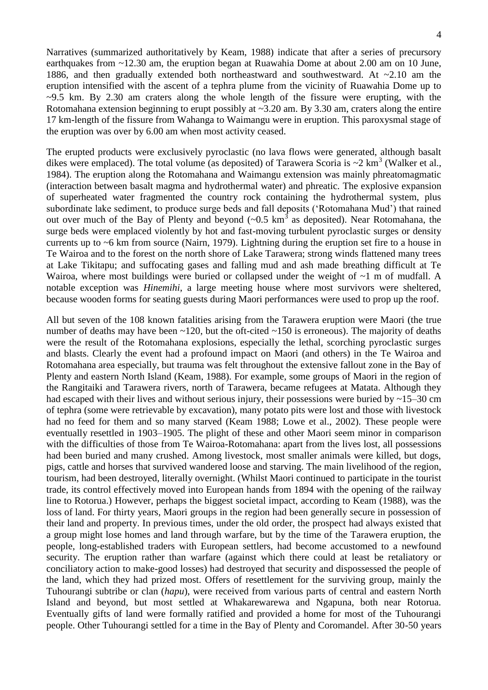Narratives (summarized authoritatively by Keam, 1988) indicate that after a series of precursory earthquakes from ~12.30 am, the eruption began at Ruawahia Dome at about 2.00 am on 10 June, 1886, and then gradually extended both northeastward and southwestward. At ~2.10 am the eruption intensified with the ascent of a tephra plume from the vicinity of Ruawahia Dome up to  $\sim$ 9.5 km. By 2.30 am craters along the whole length of the fissure were erupting, with the Rotomahana extension beginning to erupt possibly at  $\sim$ 3.20 am. By 3.30 am, craters along the entire 17 km-length of the fissure from Wahanga to Waimangu were in eruption. This paroxysmal stage of the eruption was over by 6.00 am when most activity ceased.

The erupted products were exclusively pyroclastic (no lava flows were generated, although basalt dikes were emplaced). The total volume (as deposited) of Tarawera Scoria is  $\sim$ 2 km<sup>3</sup> (Walker et al., 1984). The eruption along the Rotomahana and Waimangu extension was mainly phreatomagmatic (interaction between basalt magma and hydrothermal water) and phreatic. The explosive expansion of superheated water fragmented the country rock containing the hydrothermal system, plus subordinate lake sediment, to produce surge beds and fall deposits ('Rotomahana Mud') that rained out over much of the Bay of Plenty and beyond  $(-0.5 \text{ km}^3)$  as deposited). Near Rotomahana, the surge beds were emplaced violently by hot and fast-moving turbulent pyroclastic surges or density currents up to ~6 km from source (Nairn, 1979). Lightning during the eruption set fire to a house in Te Wairoa and to the forest on the north shore of Lake Tarawera; strong winds flattened many trees at Lake Tikitapu; and suffocating gases and falling mud and ash made breathing difficult at Te Wairoa, where most buildings were buried or collapsed under the weight of  $\sim$ 1 m of mudfall. A notable exception was *Hinemihi*, a large meeting house where most survivors were sheltered, because wooden forms for seating guests during Maori performances were used to prop up the roof.

All but seven of the 108 known fatalities arising from the Tarawera eruption were Maori (the true number of deaths may have been  $\sim$ 120, but the oft-cited  $\sim$ 150 is erroneous). The majority of deaths were the result of the Rotomahana explosions, especially the lethal, scorching pyroclastic surges and blasts. Clearly the event had a profound impact on Maori (and others) in the Te Wairoa and Rotomahana area especially, but trauma was felt throughout the extensive fallout zone in the Bay of Plenty and eastern North Island (Keam, 1988). For example, some groups of Maori in the region of the Rangitaiki and Tarawera rivers, north of Tarawera, became refugees at Matata. Although they had escaped with their lives and without serious injury, their possessions were buried by  $\sim$ 15–30 cm of tephra (some were retrievable by excavation), many potato pits were lost and those with livestock had no feed for them and so many starved (Keam 1988; Lowe et al., 2002). These people were eventually resettled in 1903–1905. The plight of these and other Maori seem minor in comparison with the difficulties of those from Te Wairoa-Rotomahana: apart from the lives lost, all possessions had been buried and many crushed. Among livestock, most smaller animals were killed, but dogs, pigs, cattle and horses that survived wandered loose and starving. The main livelihood of the region, tourism, had been destroyed, literally overnight. (Whilst Maori continued to participate in the tourist trade, its control effectively moved into European hands from 1894 with the opening of the railway line to Rotorua.) However, perhaps the biggest societal impact, according to Keam (1988), was the loss of land. For thirty years, Maori groups in the region had been generally secure in possession of their land and property. In previous times, under the old order, the prospect had always existed that a group might lose homes and land through warfare, but by the time of the Tarawera eruption, the people, long-established traders with European settlers, had become accustomed to a newfound security. The eruption rather than warfare (against which there could at least be retaliatory or conciliatory action to make-good losses) had destroyed that security and dispossessed the people of the land, which they had prized most. Offers of resettlement for the surviving group, mainly the Tuhourangi subtribe or clan (*hapu*), were received from various parts of central and eastern North Island and beyond, but most settled at Whakarewarewa and Ngapuna, both near Rotorua. Eventually gifts of land were formally ratified and provided a home for most of the Tuhourangi people. Other Tuhourangi settled for a time in the Bay of Plenty and Coromandel. After 30-50 years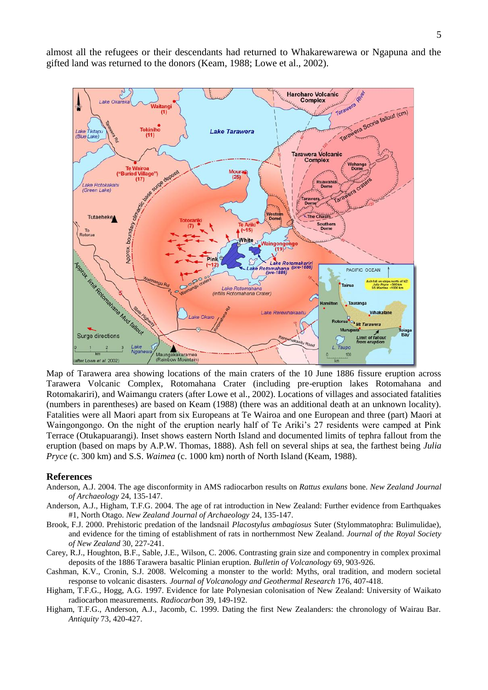almost all the refugees or their descendants had returned to Whakarewarewa or Ngapuna and the gifted land was returned to the donors (Keam, 1988; Lowe et al., 2002).



Map of Tarawera area showing locations of the main craters of the 10 June 1886 fissure eruption across Tarawera Volcanic Complex, Rotomahana Crater (including pre-eruption lakes Rotomahana and Rotomakariri), and Waimangu craters (after Lowe et al., 2002). Locations of villages and associated fatalities (numbers in parentheses) are based on Keam (1988) (there was an additional death at an unknown locality). Fatalities were all Maori apart from six Europeans at Te Wairoa and one European and three (part) Maori at Waingongongo. On the night of the eruption nearly half of Te Ariki's 27 residents were camped at Pink Terrace (Otukapuarangi). Inset shows eastern North Island and documented limits of tephra fallout from the eruption (based on maps by A.P.W. Thomas, 1888). Ash fell on several ships at sea, the farthest being *Julia Pryce* (c. 300 km) and S.S. *Waimea* (c. 1000 km) north of North Island (Keam, 1988).

#### **References**

- Anderson, A.J. 2004. The age disconformity in AMS radiocarbon results on *Rattus exulans* bone. *New Zealand Journal of Archaeology* 24, 135-147.
- Anderson, A.J., Higham, T.F.G. 2004. The age of rat introduction in New Zealand: Further evidence from Earthquakes #1, North Otago. *New Zealand Journal of Archaeology* 24, 135-147.
- Brook, F.J. 2000. Prehistoric predation of the landsnail *Placostylus ambagiosus* Suter (Stylommatophra: Bulimulidae), and evidence for the timing of establishment of rats in northernmost New Zealand. *Journal of the Royal Society of New Zealand* 30, 227-241.
- Carey, R.J., Houghton, B.F., Sable, J.E., Wilson, C. 2006. Contrasting grain size and componentry in complex proximal deposits of the 1886 Tarawera basaltic Plinian eruption. *Bulletin of Volcanology* 69, 903-926.
- Cashman, K.V., Cronin, S.J. 2008. [Welcoming a monster to the world: Myths, oral tradition, and modern societal](http://www.sciencedirect.com/science?_ob=ArticleURL&_udi=B6VCS-4SBY4TB-7&_user=100025&_coverDate=10%2F01%2F2008&_alid=818451447&_rdoc=1&_fmt=high&_orig=search&_cdi=5962&_sort=d&_docanchor=&view=c&_ct=12&_acct=C000007699&_version=1&_urlVersion=0&_userid=100025&md5=8cf629610b0e9df549d78ddc608bca44)  [response to volcanic disasters](http://www.sciencedirect.com/science?_ob=ArticleURL&_udi=B6VCS-4SBY4TB-7&_user=100025&_coverDate=10%2F01%2F2008&_alid=818451447&_rdoc=1&_fmt=high&_orig=search&_cdi=5962&_sort=d&_docanchor=&view=c&_ct=12&_acct=C000007699&_version=1&_urlVersion=0&_userid=100025&md5=8cf629610b0e9df549d78ddc608bca44)*. Journal of Volcanology and Geothermal Research* 176, 407-418.
- Higham, T.F.G., Hogg, A.G. 1997. Evidence for late Polynesian colonisation of New Zealand: University of Waikato radiocarbon measurements. *Radiocarbon* 39, 149-192.
- Higham, T.F.G., Anderson, A.J., Jacomb, C. 1999. Dating the first New Zealanders: the chronology of Wairau Bar. *Antiquity* 73, 420-427.